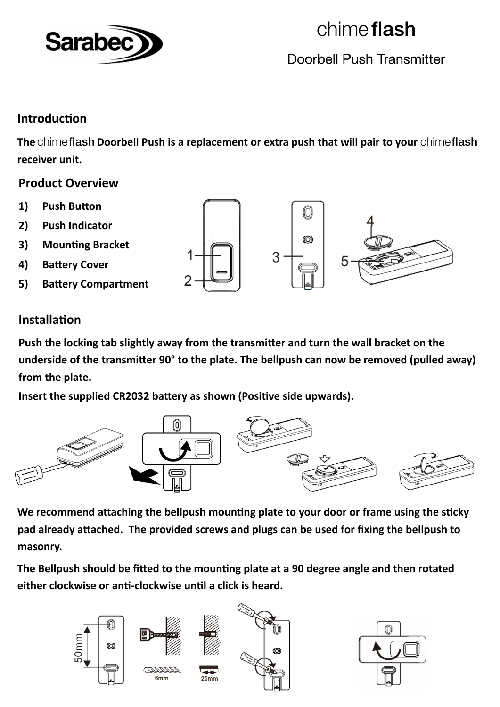

## chime flash Doorbell Push Transmitter

### **IntroducƟon**

**The** chimeflash **Doorbell Push is a replacement or extra push that will pair to your** chimeflash **receiver unit.**

#### **Product Overview**

- 1) **Push Button**
- **2) Push Indicator**
- **3) MounƟng Bracket**
- **4) BaƩery Cover**
- **5) BaƩery Compartment**

# f(O) 0 3

### **InstallaƟon**

Push the locking tab slightly away from the transmitter and turn the wall bracket on the **underside of the transmiƩer 90° to the plate. The bellpush can now be removed (pulled away) from the plate.**

**lnsert** the supplied CR2032 battery as shown (Positive side upwards).



We recommend attaching the bellpush mounting plate to your door or frame using the sticky pad already attached. The provided screws and plugs can be used for fixing the bellpush to **masonry.**

The Bellpush should be fitted to the mounting plate at a 90 degree angle and then rotated **either clockwise or anƟ‐clockwise unƟl a click is heard.**